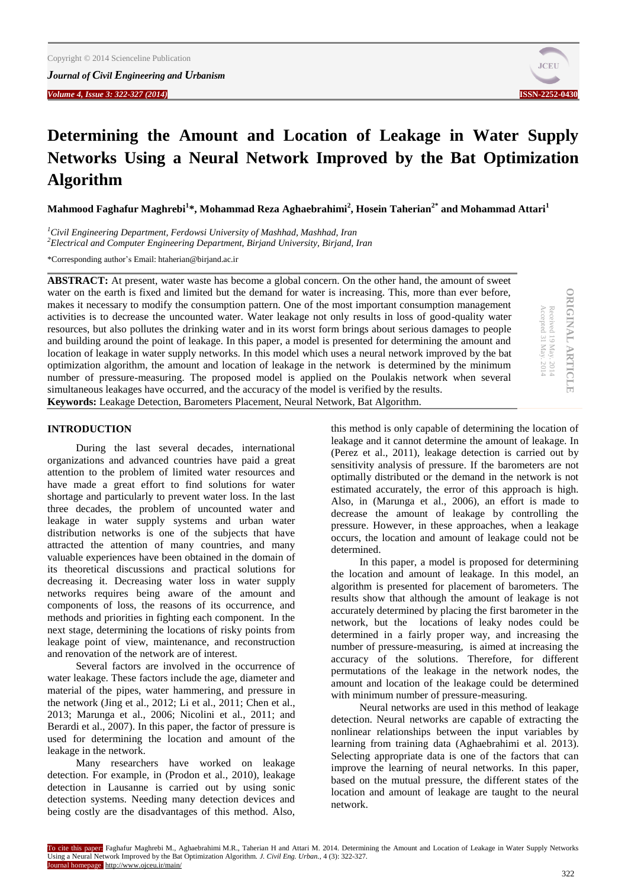*Journal of Civil Engineering and Urbanism Volume 4, Issue 3: 322-327 (2014)* **ISSN-2252-0430**



# **Determining the Amount and Location of Leakage in Water Supply Networks Using a Neural Network Improved by the Bat Optimization Algorithm**

**Mahmood Faghafur Maghrebi<sup>1</sup> \*, Mohammad Reza Aghaebrahimi<sup>2</sup> , Hosein Taherian2\* and Mohammad Attari<sup>1</sup>**

*<sup>1</sup>Civil Engineering Department, Ferdowsi University of Mashhad, Mashhad, Iran <sup>2</sup>Electrical and Computer Engineering Department, Birjand University, Birjand, Iran*

\*Corresponding author's Email: htaherian@birjand.ac.ir

**ABSTRACT:** At present, water waste has become a global concern. On the other hand, the amount of sweet water on the earth is fixed and limited but the demand for water is increasing. This, more than ever before, makes it necessary to modify the consumption pattern. One of the most important consumption management activities is to decrease the uncounted water. Water leakage not only results in loss of good-quality water resources, but also pollutes the drinking water and in its worst form brings about serious damages to people and building around the point of leakage. In this paper, a model is presented for determining the amount and location of leakage in water supply networks. In this model which uses a neural network improved by the bat optimization algorithm, the amount and location of leakage in the network is determined by the minimum number of pressure-measuring. The proposed model is applied on the Poulakis network when several simultaneous leakages have occurred, and the accuracy of the model is verified by the results. **Keywords:** Leakage Detection, Barometers Placement, Neural Network, Bat Algorithm.

# **ORIGINAL ARTICLE ORIGINAL ARTICLE** Received 19 May. 2014<br>Accepted 31 May. 2014 Received 19 May. 2014

Accepted 31 May. 2014

#### **INTRODUCTION**

During the last several decades, international organizations and advanced countries have paid a great attention to the problem of limited water resources and have made a great effort to find solutions for water shortage and particularly to prevent water loss. In the last three decades, the problem of uncounted water and leakage in water supply systems and urban water distribution networks is one of the subjects that have attracted the attention of many countries, and many valuable experiences have been obtained in the domain of its theoretical discussions and practical solutions for decreasing it. Decreasing water loss in water supply networks requires being aware of the amount and components of loss, the reasons of its occurrence, and methods and priorities in fighting each component. In the next stage, determining the locations of risky points from leakage point of view, maintenance, and reconstruction and renovation of the network are of interest.

Several factors are involved in the occurrence of water leakage. These factors include the age, diameter and material of the pipes, water hammering, and pressure in the network (Jing et al., 2012; Li et al., 2011; Chen et al., 2013; Marunga et al., 2006; Nicolini et al., 2011; and Berardi et al., 2007). In this paper, the factor of pressure is used for determining the location and amount of the leakage in the network.

Many researchers have worked on leakage detection. For example, in (Prodon et al., 2010), leakage detection in Lausanne is carried out by using sonic detection systems. Needing many detection devices and being costly are the disadvantages of this method. Also, this method is only capable of determining the location of leakage and it cannot determine the amount of leakage. In (Perez et al., 2011), leakage detection is carried out by sensitivity analysis of pressure. If the barometers are not optimally distributed or the demand in the network is not estimated accurately, the error of this approach is high. Also, in (Marunga et al., 2006), an effort is made to decrease the amount of leakage by controlling the pressure. However, in these approaches, when a leakage occurs, the location and amount of leakage could not be determined.

In this paper, a model is proposed for determining the location and amount of leakage. In this model, an algorithm is presented for placement of barometers. The results show that although the amount of leakage is not accurately determined by placing the first barometer in the network, but the locations of leaky nodes could be determined in a fairly proper way, and increasing the number of pressure-measuring, is aimed at increasing the accuracy of the solutions. Therefore, for different permutations of the leakage in the network nodes, the amount and location of the leakage could be determined with minimum number of pressure-measuring.

Neural networks are used in this method of leakage detection. Neural networks are capable of extracting the nonlinear relationships between the input variables by learning from training data (Aghaebrahimi et al. 2013). Selecting appropriate data is one of the factors that can improve the learning of neural networks. In this paper, based on the mutual pressure, the different states of the location and amount of leakage are taught to the neural network.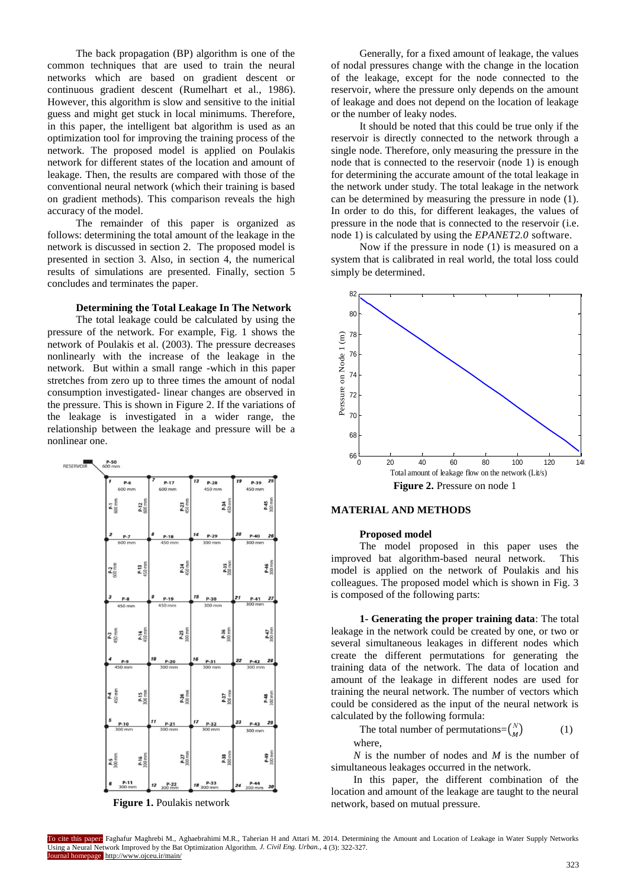The back propagation (BP) algorithm is one of the common techniques that are used to train the neural networks which are based on gradient descent or continuous gradient descent (Rumelhart et al., 1986). However, this algorithm is slow and sensitive to the initial guess and might get stuck in local minimums. Therefore, in this paper, the intelligent bat algorithm is used as an optimization tool for improving the training process of the network. The proposed model is applied on Poulakis network for different states of the location and amount of leakage. Then, the results are compared with those of the conventional neural network (which their training is based on gradient methods). This comparison reveals the high accuracy of the model.

The remainder of this paper is organized as follows: determining the total amount of the leakage in the network is discussed in section 2. The proposed model is presented in section 3. Also, in section 4, the numerical results of simulations are presented. Finally, section 5 concludes and terminates the paper.

#### **Determining the Total Leakage In The Network**

The total leakage could be calculated by using the pressure of the network. For example, Fig. 1 shows the network of Poulakis et al. (2003). The pressure decreases nonlinearly with the increase of the leakage in the network. But within a small range -which in this paper stretches from zero up to three times the amount of nodal consumption investigated- linear changes are observed in the pressure. This is shown in Figure 2. If the variations of the leakage is investigated in a wider range, the relationship between the leakage and pressure will be a nonlinear one.



**Figure 1.** Poulakis network

Generally, for a fixed amount of leakage, the values of nodal pressures change with the change in the location of the leakage, except for the node connected to the reservoir, where the pressure only depends on the amount of leakage and does not depend on the location of leakage or the number of leaky nodes.

It should be noted that this could be true only if the reservoir is directly connected to the network through a single node. Therefore, only measuring the pressure in the node that is connected to the reservoir (node 1) is enough for determining the accurate amount of the total leakage in the network under study. The total leakage in the network can be determined by measuring the pressure in node (1). In order to do this, for different leakages, the values of pressure in the node that is connected to the reservoir (i.e. node 1) is calculated by using the *EPANET2.0* software.

Now if the pressure in node (1) is measured on a system that is calibrated in real world, the total loss could simply be determined.



#### **MATERIAL AND METHODS**

#### **Proposed model**

The model proposed in this paper uses the improved bat algorithm-based neural network. This model is applied on the network of Poulakis and his colleagues. The proposed model which is shown in Fig. 3 is composed of the following parts:

**1- Generating the proper training data**: The total leakage in the network could be created by one, or two or several simultaneous leakages in different nodes which create the different permutations for generating the training data of the network. The data of location and amount of the leakage in different nodes are used for training the neural network. The number of vectors which could be considered as the input of the neural network is calculated by the following formula:

The total number of permutations= $\binom{N}{M}$  $\boldsymbol{M}$ ) (1) where,

*N* is the number of nodes and *M* is the number of simultaneous leakages occurred in the network.

In this paper, the different combination of the location and amount of the leakage are taught to the neural network, based on mutual pressure.

To cite this paper: Faghafur Maghrebi M., Aghaebrahimi M.R., Taherian H and Attari M. 2014. Determining the Amount and Location of Leakage in Water Supply Networks Using a Neural Network Improved by the Bat Optimization Algorithm. *J. Civil Eng. Urban.,* 4 (3): 322-327. Journal homepage: http://www.ojceu.ir/main/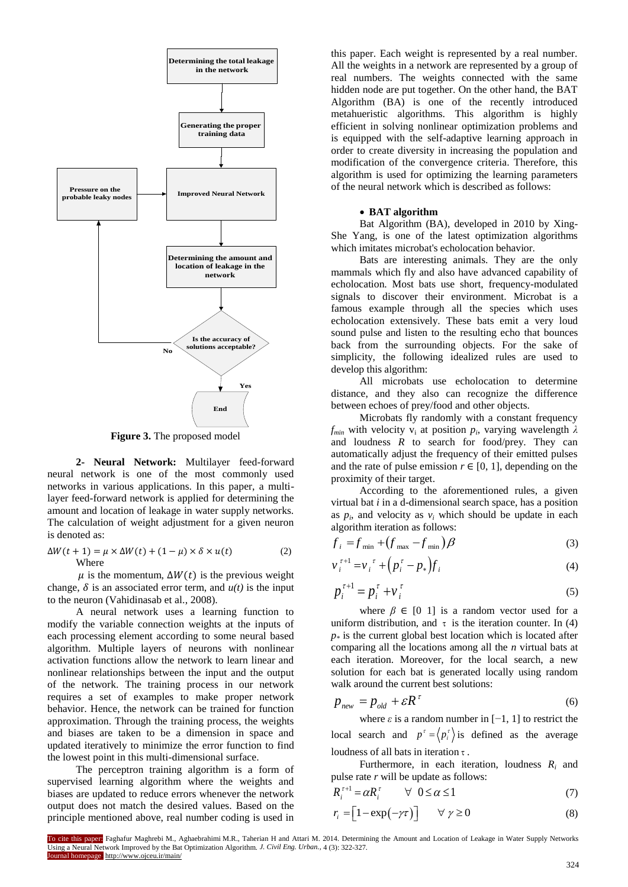

**Figure 3.** The proposed model

**2- Neural Network:** Multilayer feed-forward neural network is one of the most commonly used networks in various applications. In this paper, a multilayer feed-forward network is applied for determining the amount and location of leakage in water supply networks. The calculation of weight adjustment for a given neuron is denoted as:

$$
\Delta W(t+1) = \mu \times \Delta W(t) + (1 - \mu) \times \delta \times u(t)
$$
 (2)  
Where

 $\mu$  is the momentum,  $\Delta W(t)$  is the previous weight change,  $\delta$  is an associated error term, and  $u(t)$  is the input to the neuron (Vahidinasab et al., 2008).

A neural network uses a learning function to modify the variable connection weights at the inputs of each processing element according to some neural based algorithm. Multiple layers of neurons with nonlinear activation functions allow the network to learn linear and nonlinear relationships between the input and the output of the network. The training process in our network requires a set of examples to make proper network behavior. Hence, the network can be trained for function approximation. Through the training process, the weights and biases are taken to be a dimension in space and updated iteratively to minimize the error function to find the lowest point in this multi-dimensional surface.

The perceptron training algorithm is a form of supervised learning algorithm where the weights and biases are updated to reduce errors whenever the network output does not match the desired values. Based on the principle mentioned above, real number coding is used in

this paper. Each weight is represented by a real number. All the weights in a network are represented by a group of real numbers. The weights connected with the same hidden node are put together. On the other hand, the BAT Algorithm (BA) is one of the recently introduced metahueristic algorithms. This algorithm is highly efficient in solving nonlinear optimization problems and is equipped with the self-adaptive learning approach in order to create diversity in increasing the population and modification of the convergence criteria. Therefore, this algorithm is used for optimizing the learning parameters of the neural network which is described as follows:

#### **BAT algorithm**

Bat Algorithm (BA), developed in 2010 by Xing-She Yang, is one of the latest optimization algorithms which imitates microbat's echolocation behavior.

Bats are interesting animals. They are the only mammals which fly and also have advanced capability of echolocation. Most bats use short, frequency-modulated signals to discover their environment. Microbat is a famous example through all the species which uses echolocation extensively. These bats emit a very loud sound pulse and listen to the resulting echo that bounces back from the surrounding objects. For the sake of simplicity, the following idealized rules are used to develop this algorithm:

All microbats use echolocation to determine distance, and they also can recognize the difference between echoes of prey/food and other objects.

Microbats fly randomly with a constant frequency *f*<sub>min</sub> with velocity  $v_i$  at position  $p_i$ , varying wavelength  $λ$ and loudness  $R$  to search for food/prey. They can automatically adjust the frequency of their emitted pulses and the rate of pulse emission  $r \in [0, 1]$ , depending on the proximity of their target.

According to the aforementioned rules, a given virtual bat *i* in a d-dimensional search space, has a position as  $p_i$ , and velocity as  $v_i$  which should be update in each algorithm iteration as follows:

$$
f_i = f_{\min} + (f_{\max} - f_{\min})\beta
$$
 (3)

$$
v_i^{\tau+1} = v_i^{\tau} + (p_i^{\tau} - p_*) f_i \tag{4}
$$

$$
p_i^{\tau+1} = p_i^{\tau} + v_i^{\tau}
$$
 (5)

where  $\beta \in [0, 1]$  is a random vector used for a uniform distribution, and  $\tau$  is the iteration counter. In (4)  $p$ <sup> $*$ </sup> is the current global best location which is located after comparing all the locations among all the *n* virtual bats at each iteration. Moreover, for the local search, a new solution for each bat is generated locally using random walk around the current best solutions:

$$
p_{new} = p_{old} + \varepsilon R^{\tau} \tag{6}
$$

where  $\varepsilon$  is a random number in  $[-1, 1]$  to restrict the local search and  $p^r = \langle p_i^r \rangle$  is defined as the average loudness of all bats in iteration  $\tau$ .

Furthermore, in each iteration, loudness *R<sup>i</sup>* and pulse rate *r* will be update as follows:

$$
R_i^{\tau+1} = \alpha R_i^{\tau} \qquad \forall \ \ 0 \le \alpha \le 1 \tag{7}
$$

$$
r_i = \left[1 - \exp\left(-\gamma \tau\right)\right] \qquad \forall \ \gamma \ge 0 \tag{8}
$$

To cite this paper: Faghafur Maghrebi M., Aghaebrahimi M.R., Taherian H and Attari M. 2014. Determining the Amount and Location of Leakage in Water Supply Networks Using a Neural Network Improved by the Bat Optimization Algorithm. *J. Civil Eng. Urban.,* 4 (3): 322-327. Journal homepage: http://www.ojceu.ir/main/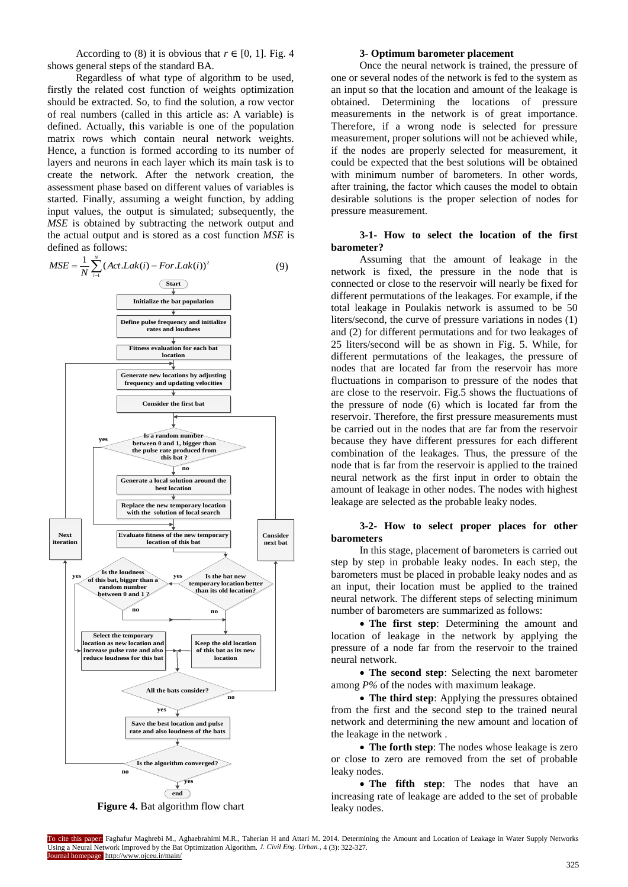According to (8) it is obvious that  $r \in [0, 1]$ . Fig. 4 shows general steps of the standard BA.

Regardless of what type of algorithm to be used, firstly the related cost function of weights optimization should be extracted. So, to find the solution, a row vector of real numbers (called in this article as: A variable) is defined. Actually, this variable is one of the population matrix rows which contain neural network weights. Hence, a function is formed according to its number of layers and neurons in each layer which its main task is to create the network. After the network creation, the assessment phase based on different values of variables is started. Finally, assuming a weight function, by adding input values, the output is simulated; subsequently, the *MSE* is obtained by subtracting the network output and the actual output and is stored as a cost function *MSE* is defined as follows:



**Figure 4.** Bat algorithm flow chart

#### **3- Optimum barometer placement**

Once the neural network is trained, the pressure of one or several nodes of the network is fed to the system as an input so that the location and amount of the leakage is obtained. Determining the locations of pressure measurements in the network is of great importance. Therefore, if a wrong node is selected for pressure measurement, proper solutions will not be achieved while, if the nodes are properly selected for measurement, it could be expected that the best solutions will be obtained with minimum number of barometers. In other words, after training, the factor which causes the model to obtain desirable solutions is the proper selection of nodes for pressure measurement.

# **3-1- How to select the location of the first barometer?**

Assuming that the amount of leakage in the network is fixed, the pressure in the node that is connected or close to the reservoir will nearly be fixed for different permutations of the leakages. For example, if the total leakage in Poulakis network is assumed to be 50 liters/second, the curve of pressure variations in nodes (1) and (2) for different permutations and for two leakages of 25 liters/second will be as shown in Fig. 5. While, for different permutations of the leakages, the pressure of nodes that are located far from the reservoir has more fluctuations in comparison to pressure of the nodes that are close to the reservoir. Fig.5 shows the fluctuations of the pressure of node (6) which is located far from the reservoir. Therefore, the first pressure measurements must be carried out in the nodes that are far from the reservoir because they have different pressures for each different combination of the leakages. Thus, the pressure of the node that is far from the reservoir is applied to the trained neural network as the first input in order to obtain the amount of leakage in other nodes. The nodes with highest leakage are selected as the probable leaky nodes.

# **3-2- How to select proper places for other barometers**

In this stage, placement of barometers is carried out step by step in probable leaky nodes. In each step, the barometers must be placed in probable leaky nodes and as an input, their location must be applied to the trained neural network. The different steps of selecting minimum number of barometers are summarized as follows:

 **The first step**: Determining the amount and location of leakage in the network by applying the pressure of a node far from the reservoir to the trained neural network.

 **The second step**: Selecting the next barometer among *P%* of the nodes with maximum leakage.

 **The third step**: Applying the pressures obtained from the first and the second step to the trained neural network and determining the new amount and location of the leakage in the network .

 **The forth step**: The nodes whose leakage is zero or close to zero are removed from the set of probable leaky nodes.

 **The fifth step**: The nodes that have an increasing rate of leakage are added to the set of probable leaky nodes.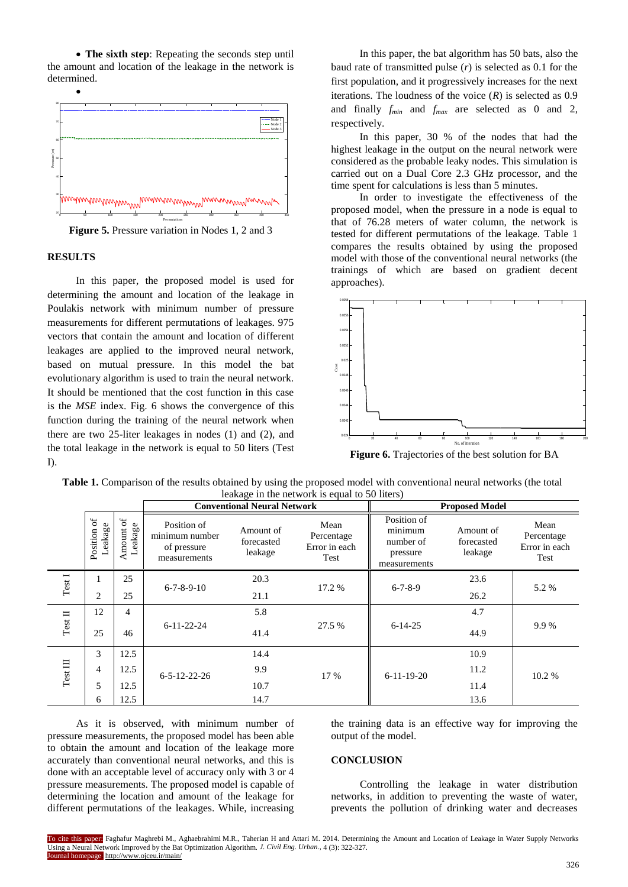• The sixth step: Repeating the seconds step until the amount and location of the leakage in the network is determined.



**Figure 5.** Pressure variation in Nodes 1, 2 and 3

#### **RESULTS**

In this paper, the proposed model is used for determining the amount and location of the leakage in Poulakis network with minimum number of pressure measurements for different permutations of leakages. 975 vectors that contain the amount and location of different leakages are applied to the improved neural network, based on mutual pressure. In this model the bat evolutionary algorithm is used to train the neural network. It should be mentioned that the cost function in this case is the *MSE* index. Fig. 6 shows the convergence of this function during the training of the neural network when there are two 25-liter leakages in nodes (1) and (2), and the total leakage in the network is equal to 50 liters (Test I).

In this paper, the bat algorithm has 50 bats, also the baud rate of transmitted pulse (*r*) is selected as 0.1 for the first population, and it progressively increases for the next iterations. The loudness of the voice  $(R)$  is selected as  $0.9$ and finally *fmin* and *fmax* are selected as 0 and 2, respectively.

In this paper, 30 % of the nodes that had the highest leakage in the output on the neural network were considered as the probable leaky nodes. This simulation is carried out on a Dual Core 2.3 GHz processor, and the time spent for calculations is less than 5 minutes.

In order to investigate the effectiveness of the proposed model, when the pressure in a node is equal to that of 76.28 meters of water column, the network is tested for different permutations of the leakage. Table 1 compares the results obtained by using the proposed model with those of the conventional neural networks (the trainings of which are based on gradient decent approaches).



**Figure 6.** Trajectories of the best solution for BA

| Table 1. Comparison of the results obtained by using the proposed model with conventional neural networks (the total |  |
|----------------------------------------------------------------------------------------------------------------------|--|
| leakage in the network is equal to 50 liters)                                                                        |  |

|                                                                           |                       | <b>Conventional Neural Network</b> |                                                              |                                    | <b>Proposed Model</b>                       |                                                                 |                                    |                                             |
|---------------------------------------------------------------------------|-----------------------|------------------------------------|--------------------------------------------------------------|------------------------------------|---------------------------------------------|-----------------------------------------------------------------|------------------------------------|---------------------------------------------|
|                                                                           | Position of<br>eakage | $\sigma$<br>Leakage<br>Amount      | Position of<br>minimum number<br>of pressure<br>measurements | Amount of<br>forecasted<br>leakage | Mean<br>Percentage<br>Error in each<br>Test | Position of<br>minimum<br>number of<br>pressure<br>measurements | Amount of<br>forecasted<br>leakage | Mean<br>Percentage<br>Error in each<br>Test |
| Test I                                                                    |                       | 25                                 | $6 - 7 - 8 - 9 - 10$                                         | 20.3                               |                                             |                                                                 | 23.6                               | 5.2 %                                       |
|                                                                           | 2                     | 25                                 |                                                              | 21.1                               | 17.2 %                                      | $6 - 7 - 8 - 9$                                                 | 26.2                               |                                             |
| $\mathrm{Test}\:\Pi$                                                      | 12                    | 4                                  | $6 - 11 - 22 - 24$                                           | 5.8                                |                                             |                                                                 | 4.7                                |                                             |
|                                                                           | 25                    | 46                                 |                                                              | 41.4                               | 27.5 %                                      | $6 - 14 - 25$                                                   | 44.9                               | 9.9%                                        |
| 3<br>12.5<br>Test III<br>12.5<br>$\overline{4}$<br>5<br>12.5<br>12.5<br>6 |                       |                                    | $6 - 5 - 12 - 22 - 26$                                       | 14.4                               |                                             |                                                                 | 10.9                               |                                             |
|                                                                           |                       |                                    |                                                              | 9.9                                | 17 %                                        | $6-11-19-20$                                                    | 11.2                               | 10.2%                                       |
|                                                                           |                       |                                    |                                                              | 10.7                               |                                             |                                                                 | 11.4                               |                                             |
|                                                                           |                       |                                    | 14.7                                                         |                                    |                                             | 13.6                                                            |                                    |                                             |

As it is observed, with minimum number of pressure measurements, the proposed model has been able to obtain the amount and location of the leakage more accurately than conventional neural networks, and this is done with an acceptable level of accuracy only with 3 or 4 pressure measurements. The proposed model is capable of determining the location and amount of the leakage for different permutations of the leakages. While, increasing the training data is an effective way for improving the output of the model.

#### **CONCLUSION**

Controlling the leakage in water distribution networks, in addition to preventing the waste of water, prevents the pollution of drinking water and decreases

To cite this paper: Faghafur Maghrebi M., Aghaebrahimi M.R., Taherian H and Attari M. 2014. Determining the Amount and Location of Leakage in Water Supply Networks Using a Neural Network Improved by the Bat Optimization Algorithm. *J. Civil Eng. Urban.,* 4 (3): 322-327. Journal homepage: http://www.ojceu.ir/main/